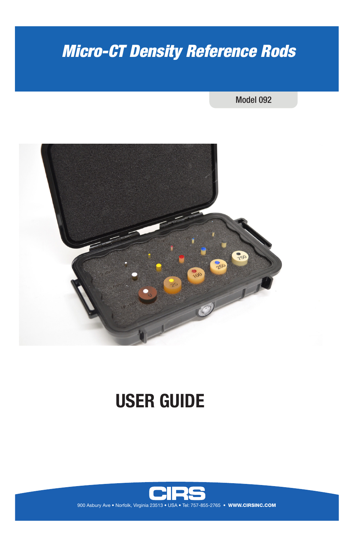# *Micro-CT Density Reference Rods*

## Model 092



# **USER GUIDE**

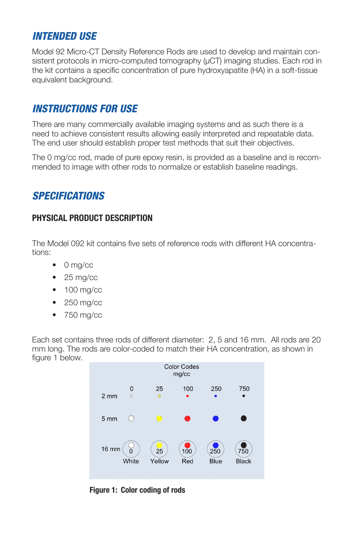# *INTENDED USE*

Model 92 Micro-CT Density Reference Rods are used to develop and maintain consistent protocols in micro-computed tomography ( $\mu$ CT) imaging studies. Each rod in the kit contains a specific concentration of pure hydroxyapatite (HA) in a soft-tissue equivalent background.

# *INSTRUCTIONS FOR USE*

There are many commercially available imaging systems and as such there is a need to achieve consistent results allowing easily interpreted and repeatable data. The end user should establish proper test methods that suit their objectives.

The 0 mg/cc rod, made of pure epoxy resin, is provided as a baseline and is recommended to image with other rods to normalize or establish baseline readings.

# *SPECIFICATIONS*

## **PHYSICAL PRODUCT DESCRIPTION**

The Model 092 kit contains five sets of reference rods with different HA concentrations:

- 0 mg/cc
- $25 mg/cc$
- 100 mg/cc
- 250 mg/cc
- 750 mg/cc

Each set contains three rods of different diameter: 2, 5 and 16 mm. All rods are 20 mm long. The rods are color-coded to match their HA concentration, as shown in figure 1 below.



**Figure 1: Color coding of rods**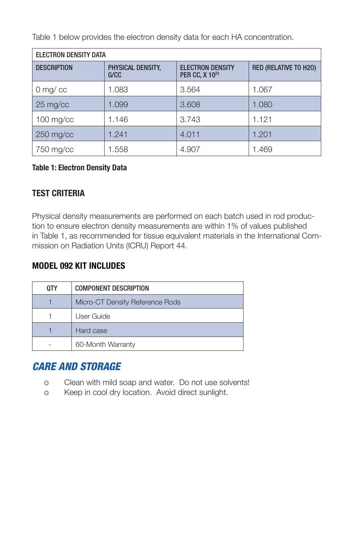Table 1 below provides the electron density data for each HA concentration.

| <b>ELECTRON DENSITY DATA</b> |                           |                                                       |                              |  |
|------------------------------|---------------------------|-------------------------------------------------------|------------------------------|--|
| <b>DESCRIPTION</b>           | PHYSICAL DENSITY,<br>G/CC | <b>ELECTRON DENSITY</b><br>PER CC, X 10 <sup>23</sup> | <b>RED (RELATIVE TO H2O)</b> |  |
| $0$ mg/cc                    | 1.083                     | 3.564                                                 | 1.067                        |  |
| 25 mg/cc                     | 1.099                     | 3.608                                                 | 1.080                        |  |
| $100$ mg/cc                  | 1.146                     | 3.743                                                 | 1.121                        |  |
| $250$ mg/cc                  | 1.241                     | 4.011                                                 | 1.201                        |  |
| 750 mg/cc                    | 1.558                     | 4.907                                                 | 1.469                        |  |

## **Table 1: Electron Density Data**

## **TEST CRITERIA**

Physical density measurements are performed on each batch used in rod production to ensure electron density measurements are within 1% of values published in Table 1, as recommended for tissue equivalent materials in the International Commission on Radiation Units (ICRU) Report 44.

## **MODEL 092 KIT INCLUDES**

| 0TY | <b>COMPONENT DESCRIPTION</b>    |  |
|-----|---------------------------------|--|
|     | Micro-CT Density Reference Rods |  |
|     | User Guide                      |  |
|     | Hard case                       |  |
|     | 60-Month Warranty               |  |

# *CARE AND STORAGE*

- o Clean with mild soap and water. Do not use solvents!
- o Keep in cool dry location. Avoid direct sunlight.